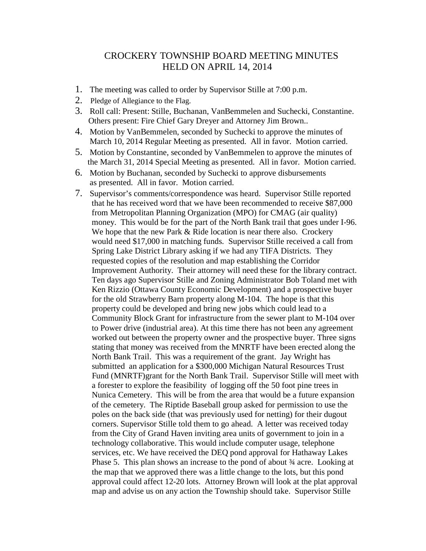## CROCKERY TOWNSHIP BOARD MEETING MINUTES HELD ON APRIL 14, 2014

- 1. The meeting was called to order by Supervisor Stille at 7:00 p.m.
- 2. Pledge of Allegiance to the Flag.
- 3. Roll call: Present: Stille, Buchanan, VanBemmelen and Suchecki, Constantine. Others present: Fire Chief Gary Dreyer and Attorney Jim Brown..
- 4. Motion by VanBemmelen, seconded by Suchecki to approve the minutes of March 10, 2014 Regular Meeting as presented. All in favor. Motion carried.
- 5. Motion by Constantine, seconded by VanBemmelen to approve the minutes of the March 31, 2014 Special Meeting as presented. All in favor. Motion carried.
- 6. Motion by Buchanan, seconded by Suchecki to approve disbursements as presented. All in favor. Motion carried.
- 7. Supervisor's comments/correspondence was heard. Supervisor Stille reported that he has received word that we have been recommended to receive \$87,000 from Metropolitan Planning Organization (MPO) for CMAG (air quality) money. This would be for the part of the North Bank trail that goes under I-96. We hope that the new Park & Ride location is near there also. Crockery would need \$17,000 in matching funds. Supervisor Stille received a call from Spring Lake District Library asking if we had any TIFA Districts. They requested copies of the resolution and map establishing the Corridor Improvement Authority. Their attorney will need these for the library contract. Ten days ago Supervisor Stille and Zoning Administrator Bob Toland met with Ken Rizzio (Ottawa County Economic Development) and a prospective buyer for the old Strawberry Barn property along M-104. The hope is that this property could be developed and bring new jobs which could lead to a Community Block Grant for infrastructure from the sewer plant to M-104 over to Power drive (industrial area). At this time there has not been any agreement worked out between the property owner and the prospective buyer. Three signs stating that money was received from the MNRTF have been erected along the North Bank Trail. This was a requirement of the grant. Jay Wright has submitted an application for a \$300,000 Michigan Natural Resources Trust Fund (MNRTF)grant for the North Bank Trail. Supervisor Stille will meet with a forester to explore the feasibility of logging off the 50 foot pine trees in Nunica Cemetery. This will be from the area that would be a future expansion of the cemetery. The Riptide Baseball group asked for permission to use the poles on the back side (that was previously used for netting) for their dugout corners. Supervisor Stille told them to go ahead. A letter was received today from the City of Grand Haven inviting area units of government to join in a technology collaborative. This would include computer usage, telephone services, etc. We have received the DEQ pond approval for Hathaway Lakes Phase 5. This plan shows an increase to the pond of about ¾ acre. Looking at the map that we approved there was a little change to the lots, but this pond approval could affect 12-20 lots. Attorney Brown will look at the plat approval map and advise us on any action the Township should take. Supervisor Stille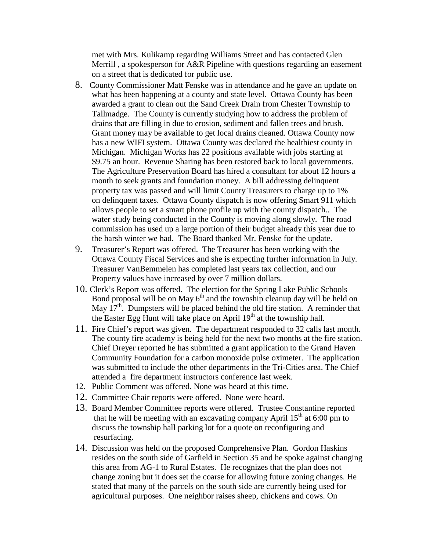met with Mrs. Kulikamp regarding Williams Street and has contacted Glen Merrill , a spokesperson for A&R Pipeline with questions regarding an easement on a street that is dedicated for public use.

- 8. County Commissioner Matt Fenske was in attendance and he gave an update on what has been happening at a county and state level. Ottawa County has been awarded a grant to clean out the Sand Creek Drain from Chester Township to Tallmadge. The County is currently studying how to address the problem of drains that are filling in due to erosion, sediment and fallen trees and brush. Grant money may be available to get local drains cleaned. Ottawa County now has a new WIFI system. Ottawa County was declared the healthiest county in Michigan. Michigan Works has 22 positions available with jobs starting at \$9.75 an hour. Revenue Sharing has been restored back to local governments. The Agriculture Preservation Board has hired a consultant for about 12 hours a month to seek grants and foundation money. A bill addressing delinquent property tax was passed and will limit County Treasurers to charge up to 1% on delinquent taxes. Ottawa County dispatch is now offering Smart 911 which allows people to set a smart phone profile up with the county dispatch.. The water study being conducted in the County is moving along slowly. The road commission has used up a large portion of their budget already this year due to the harsh winter we had. The Board thanked Mr. Fenske for the update.
- 9. Treasurer's Report was offered. The Treasurer has been working with the Ottawa County Fiscal Services and she is expecting further information in July. Treasurer VanBemmelen has completed last years tax collection, and our Property values have increased by over 7 million dollars.
- 10. Clerk's Report was offered. The election for the Spring Lake Public Schools Bond proposal will be on May  $6<sup>th</sup>$  and the township cleanup day will be held on May  $17<sup>th</sup>$ . Dumpsters will be placed behind the old fire station. A reminder that the Easter Egg Hunt will take place on April  $19<sup>th</sup>$  at the township hall.
- 11. Fire Chief's report was given. The department responded to 32 calls last month. The county fire academy is being held for the next two months at the fire station. Chief Dreyer reported he has submitted a grant application to the Grand Haven Community Foundation for a carbon monoxide pulse oximeter. The application was submitted to include the other departments in the Tri-Cities area. The Chief attended a fire department instructors conference last week.
- 12. Public Comment was offered. None was heard at this time.
- 12. Committee Chair reports were offered. None were heard.
- 13. Board Member Committee reports were offered. Trustee Constantine reported that he will be meeting with an excavating company April  $15<sup>th</sup>$  at 6:00 pm to discuss the township hall parking lot for a quote on reconfiguring and resurfacing.
- 14. Discussion was held on the proposed Comprehensive Plan. Gordon Haskins resides on the south side of Garfield in Section 35 and he spoke against changing this area from AG-1 to Rural Estates. He recognizes that the plan does not change zoning but it does set the coarse for allowing future zoning changes. He stated that many of the parcels on the south side are currently being used for agricultural purposes. One neighbor raises sheep, chickens and cows. On